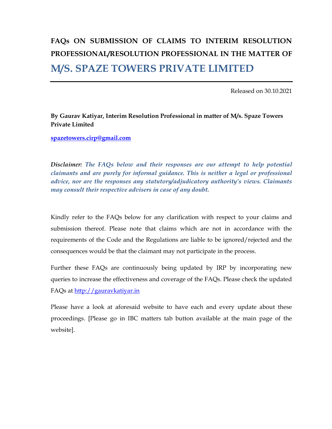# FAQs ON SUBMISSION OF CLAIMS TO INTERIM RESOLUTION PROFESSIONAL/RESOLUTION PROFESSIONAL IN THE MATTER OF M/S. SPAZE TOWERS PRIVATE LIMITED

Released on 30.10.2021

### By Gaurav Katiyar, Interim Resolution Professional in matter of M/s. Spaze Towers Private Limited

spazetowers.cirp@gmail.com

Disclaimer: The FAQs below and their responses are our attempt to help potential claimants and are purely for informal guidance. This is neither a legal or professional advice, nor are the responses any statutory/adjudicatory authority's views. Claimants may consult their respective advisers in case of any doubt.

Kindly refer to the FAQs below for any clarification with respect to your claims and submission thereof. Please note that claims which are not in accordance with the requirements of the Code and the Regulations are liable to be ignored/rejected and the consequences would be that the claimant may not participate in the process.

Further these FAQs are continuously being updated by IRP by incorporating new queries to increase the effectiveness and coverage of the FAQs. Please check the updated FAQs at http://gauravkatiyar.in

Please have a look at aforesaid website to have each and every update about these proceedings. [Please go in IBC matters tab button available at the main page of the website].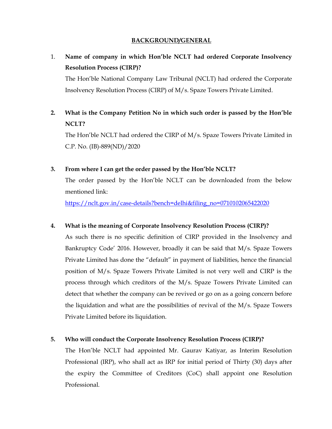### BACKGROUND/GENERAL

1. Name of company in which Hon'ble NCLT had ordered Corporate Insolvency Resolution Process (CIRP)?

The Hon'ble National Company Law Tribunal (NCLT) had ordered the Corporate Insolvency Resolution Process (CIRP) of M/s. Spaze Towers Private Limited.

# 2. What is the Company Petition No in which such order is passed by the Hon'ble NCLT?

The Hon'ble NCLT had ordered the CIRP of M/s. Spaze Towers Private Limited in C.P. No. (IB)-889(ND)/2020

### 3. From where I can get the order passed by the Hon'ble NCLT?

The order passed by the Hon'ble NCLT can be downloaded from the below mentioned link:

https://nclt.gov.in/case-details?bench=delhi&filing\_no=0710102065422020

### 4. What is the meaning of Corporate Insolvency Resolution Process (CIRP)?

As such there is no specific definition of CIRP provided in the Insolvency and Bankruptcy Code' 2016. However, broadly it can be said that M/s. Spaze Towers Private Limited has done the "default" in payment of liabilities, hence the financial position of M/s. Spaze Towers Private Limited is not very well and CIRP is the process through which creditors of the M/s. Spaze Towers Private Limited can detect that whether the company can be revived or go on as a going concern before the liquidation and what are the possibilities of revival of the M/s. Spaze Towers Private Limited before its liquidation.

### 5. Who will conduct the Corporate Insolvency Resolution Process (CIRP)?

The Hon'ble NCLT had appointed Mr. Gaurav Katiyar, as Interim Resolution Professional (IRP), who shall act as IRP for initial period of Thirty (30) days after the expiry the Committee of Creditors (CoC) shall appoint one Resolution Professional.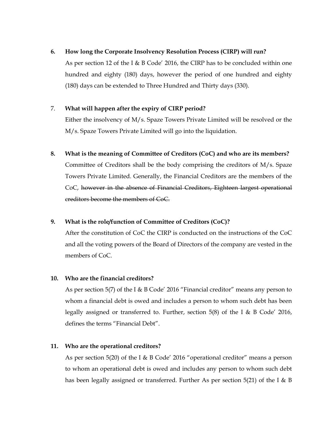### 6. How long the Corporate Insolvency Resolution Process (CIRP) will run?

As per section 12 of the I & B Code' 2016, the CIRP has to be concluded within one hundred and eighty (180) days, however the period of one hundred and eighty (180) days can be extended to Three Hundred and Thirty days (330).

### 7. What will happen after the expiry of CIRP period?

Either the insolvency of M/s. Spaze Towers Private Limited will be resolved or the M/s. Spaze Towers Private Limited will go into the liquidation.

8. What is the meaning of Committee of Creditors (CoC) and who are its members? Committee of Creditors shall be the body comprising the creditors of M/s. Spaze Towers Private Limited. Generally, the Financial Creditors are the members of the CoC, however in the absence of Financial Creditors, Eighteen largest operational creditors become the members of CoC.

### 9. What is the role/function of Committee of Creditors (CoC)?

After the constitution of CoC the CIRP is conducted on the instructions of the CoC and all the voting powers of the Board of Directors of the company are vested in the members of CoC.

### 10. Who are the financial creditors?

As per section 5(7) of the I & B Code' 2016 "Financial creditor" means any person to whom a financial debt is owed and includes a person to whom such debt has been legally assigned or transferred to. Further, section 5(8) of the I & B Code' 2016, defines the terms "Financial Debt".

### 11. Who are the operational creditors?

As per section 5(20) of the I & B Code' 2016 "operational creditor" means a person to whom an operational debt is owed and includes any person to whom such debt has been legally assigned or transferred. Further As per section 5(21) of the I & B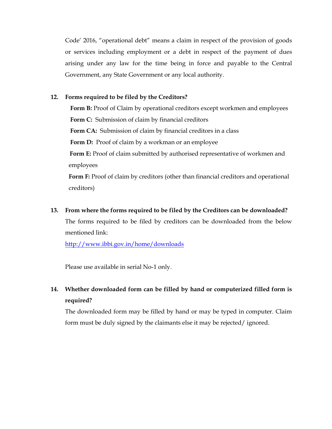Code' 2016, "operational debt" means a claim in respect of the provision of goods or services including employment or a debt in respect of the payment of dues arising under any law for the time being in force and payable to the Central Government, any State Government or any local authority.

### 12. Forms required to be filed by the Creditors?

Form B: Proof of Claim by operational creditors except workmen and employees Form C: Submission of claim by financial creditors Form CA: Submission of claim by financial creditors in a class Form D: Proof of claim by a workman or an employee Form E: Proof of claim submitted by authorised representative of workmen and employees

Form F: Proof of claim by creditors (other than financial creditors and operational creditors)

#### 13. From where the forms required to be filed by the Creditors can be downloaded?

The forms required to be filed by creditors can be downloaded from the below mentioned link:

http://www.ibbi.gov.in/home/downloads

Please use available in serial No-1 only.

# 14. Whether downloaded form can be filled by hand or computerized filled form is required?

The downloaded form may be filled by hand or may be typed in computer. Claim form must be duly signed by the claimants else it may be rejected/ ignored.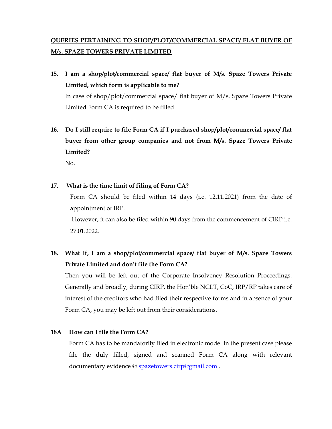# QUERIES PERTAINING TO SHOP/PLOT/COMMERCIAL SPACE/ FLAT BUYER OF M/s. SPAZE TOWERS PRIVATE LIMITED

- 15. I am a shop/plot/commercial space/ flat buyer of M/s. Spaze Towers Private Limited, which form is applicable to me? In case of shop/plot/commercial space/ flat buyer of M/s. Spaze Towers Private Limited Form CA is required to be filled.
- 16. Do I still require to file Form CA if I purchased shop/plot/commercial space/ flat buyer from other group companies and not from M/s. Spaze Towers Private Limited? No.

17. What is the time limit of filing of Form CA?

Form CA should be filed within 14 days (i.e. 12.11.2021) from the date of appointment of IRP.

 However, it can also be filed within 90 days from the commencement of CIRP i.e. 27.01.2022.

18. What if, I am a shop/plot/commercial space/ flat buyer of M/s. Spaze Towers Private Limited and don't file the Form CA?

Then you will be left out of the Corporate Insolvency Resolution Proceedings. Generally and broadly, during CIRP, the Hon'ble NCLT, CoC, IRP/RP takes care of interest of the creditors who had filed their respective forms and in absence of your Form CA, you may be left out from their considerations.

### 18A How can I file the Form CA?

Form CA has to be mandatorily filed in electronic mode. In the present case please file the duly filled, signed and scanned Form CA along with relevant documentary evidence @ spazetowers.cirp@gmail.com.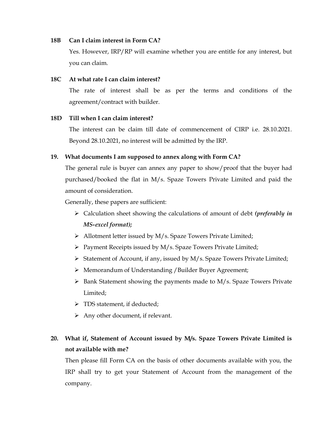#### 18B Can I claim interest in Form CA?

Yes. However, IRP/RP will examine whether you are entitle for any interest, but you can claim.

### 18C At what rate I can claim interest?

The rate of interest shall be as per the terms and conditions of the agreement/contract with builder.

#### 18D Till when I can claim interest?

The interest can be claim till date of commencement of CIRP i.e. 28.10.2021. Beyond 28.10.2021, no interest will be admitted by the IRP.

### 19. What documents I am supposed to annex along with Form CA?

The general rule is buyer can annex any paper to show/proof that the buyer had purchased/booked the flat in M/s. Spaze Towers Private Limited and paid the amount of consideration.

Generally, these papers are sufficient:

- $\triangleright$  Calculation sheet showing the calculations of amount of debt (*preferably in* MS-excel format);
- > Allotment letter issued by M/s. Spaze Towers Private Limited;
- $\triangleright$  Payment Receipts issued by M/s. Spaze Towers Private Limited;
- Statement of Account, if any, issued by  $M/s$ . Spaze Towers Private Limited;
- Memorandum of Understanding /Builder Buyer Agreement;
- $\triangleright$  Bank Statement showing the payments made to M/s. Spaze Towers Private Limited;
- > TDS statement, if deducted;
- $\triangleright$  Any other document, if relevant.

# 20. What if, Statement of Account issued by M/s. Spaze Towers Private Limited is not available with me?

Then please fill Form CA on the basis of other documents available with you, the IRP shall try to get your Statement of Account from the management of the company.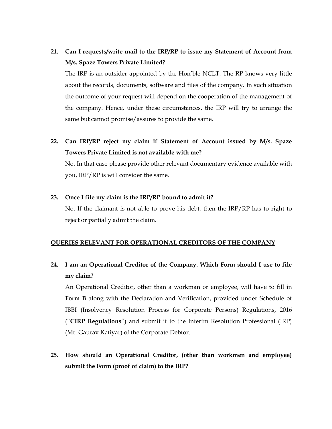# 21. Can I requests/write mail to the IRP/RP to issue my Statement of Account from M/s. Spaze Towers Private Limited?

The IRP is an outsider appointed by the Hon'ble NCLT. The RP knows very little about the records, documents, software and files of the company. In such situation the outcome of your request will depend on the cooperation of the management of the company. Hence, under these circumstances, the IRP will try to arrange the same but cannot promise/assures to provide the same.

22. Can IRP/RP reject my claim if Statement of Account issued by M/s. Spaze Towers Private Limited is not available with me?

No. In that case please provide other relevant documentary evidence available with you, IRP/RP is will consider the same.

#### 23. Once I file my claim is the IRP/RP bound to admit it?

No. If the claimant is not able to prove his debt, then the IRP/RP has to right to reject or partially admit the claim.

#### QUERIES RELEVANT FOR OPERATIONAL CREDITORS OF THE COMPANY

# 24. I am an Operational Creditor of the Company. Which Form should I use to file my claim?

An Operational Creditor, other than a workman or employee, will have to fill in Form B along with the Declaration and Verification, provided under Schedule of IBBI (Insolvency Resolution Process for Corporate Persons) Regulations, 2016 ("CIRP Regulations") and submit it to the Interim Resolution Professional (IRP) (Mr. Gaurav Katiyar) of the Corporate Debtor.

25. How should an Operational Creditor, (other than workmen and employee) submit the Form (proof of claim) to the IRP?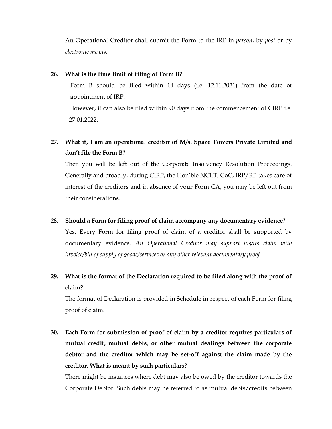An Operational Creditor shall submit the Form to the IRP in *person*, by *post* or by electronic means.

#### 26. What is the time limit of filing of Form B?

Form B should be filed within 14 days (i.e. 12.11.2021) from the date of appointment of IRP.

However, it can also be filed within 90 days from the commencement of CIRP i.e. 27.01.2022.

# 27. What if, I am an operational creditor of M/s. Spaze Towers Private Limited and don't file the Form B?

Then you will be left out of the Corporate Insolvency Resolution Proceedings. Generally and broadly, during CIRP, the Hon'ble NCLT, CoC, IRP/RP takes care of interest of the creditors and in absence of your Form CA, you may be left out from their considerations.

28. Should a Form for filing proof of claim accompany any documentary evidence? Yes. Every Form for filing proof of claim of a creditor shall be supported by documentary evidence. An Operational Creditor may support his/its claim with invoice/bill of supply of goods/services or any other relevant documentary proof.

# 29. What is the format of the Declaration required to be filed along with the proof of claim?

The format of Declaration is provided in Schedule in respect of each Form for filing proof of claim.

30. Each Form for submission of proof of claim by a creditor requires particulars of mutual credit, mutual debts, or other mutual dealings between the corporate debtor and the creditor which may be set-off against the claim made by the creditor. What is meant by such particulars?

There might be instances where debt may also be owed by the creditor towards the Corporate Debtor. Such debts may be referred to as mutual debts/credits between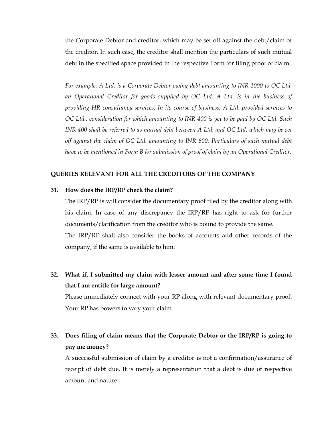the Corporate Debtor and creditor, which may be set off against the debt/claim of the creditor. In such case, the creditor shall mention the particulars of such mutual debt in the specified space provided in the respective Form for filing proof of claim.

For example: A Ltd. is a Corporate Debtor owing debt amounting to INR 1000 to OC Ltd. an Operational Creditor for goods supplied by OC Ltd. A Ltd. is in the business of providing HR consultancy services. In its course of business, A Ltd. provided services to OC Ltd., consideration for which amounting to INR 400 is yet to be paid by OC Ltd. Such INR 400 shall be referred to as mutual debt between A Ltd. and OC Ltd. which may be set off against the claim of OC Ltd. amounting to INR 600. Particulars of such mutual debt have to be mentioned in Form B for submission of proof of claim by an Operational Creditor.

#### QUERIES RELEVANT FOR ALL THE CREDITORS OF THE COMPANY

#### 31. How does the IRP/RP check the claim?

The IRP/RP is will consider the documentary proof filed by the creditor along with his claim. In case of any discrepancy the IRP/RP has right to ask for further documents/clarification from the creditor who is bound to provide the same. The IRP/RP shall also consider the books of accounts and other records of the company, if the same is available to him.

32. What if, I submitted my claim with lesser amount and after some time I found that I am entitle for large amount?

Please immediately connect with your RP along with relevant documentary proof. Your RP has powers to vary your claim.

# 33. Does filing of claim means that the Corporate Debtor or the IRP/RP is going to pay me money?

A successful submission of claim by a creditor is not a confirmation/assurance of receipt of debt due. It is merely a representation that a debt is due of respective amount and nature.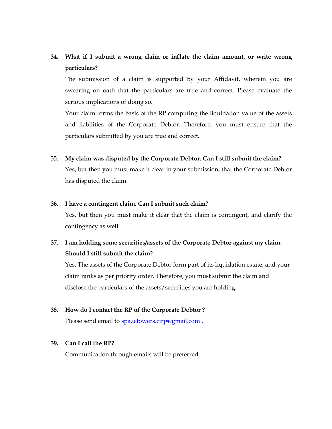# 34. What if I submit a wrong claim or inflate the claim amount, or write wrong particulars?

The submission of a claim is supported by your Affidavit, wherein you are swearing on oath that the particulars are true and correct. Please evaluate the serious implications of doing so.

Your claim forms the basis of the RP computing the liquidation value of the assets and liabilities of the Corporate Debtor. Therefore, you must ensure that the particulars submitted by you are true and correct.

#### 35. My claim was disputed by the Corporate Debtor. Can I still submit the claim?

Yes, but then you must make it clear in your submission, that the Corporate Debtor has disputed the claim.

#### 36. I have a contingent claim. Can I submit such claim?

Yes, but then you must make it clear that the claim is contingent, and clarify the contingency as well.

# 37. I am holding some securities/assets of the Corporate Debtor against my claim. Should I still submit the claim?

Yes. The assets of the Corporate Debtor form part of its liquidation estate, and your claim ranks as per priority order. Therefore, you must submit the claim and disclose the particulars of the assets/securities you are holding.

### 38. How do I contact the RP of the Corporate Debtor ?

Please send email to spazetowers.cirp@gmail.com.

#### 39. Can I call the RP?

Communication through emails will be preferred.